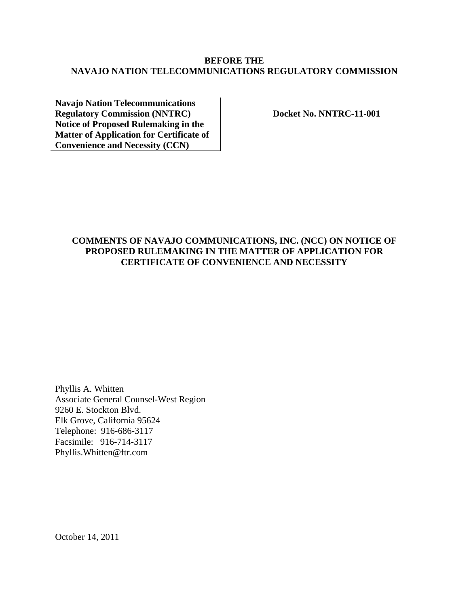# **BEFORE THE NAVAJO NATION TELECOMMUNICATIONS REGULATORY COMMISSION**

**Navajo Nation Telecommunications Regulatory Commission (NNTRC) Notice of Proposed Rulemaking in the Matter of Application for Certificate of Convenience and Necessity (CCN)** 

**Docket No. NNTRC-11-001** 

## **COMMENTS OF NAVAJO COMMUNICATIONS, INC. (NCC) ON NOTICE OF PROPOSED RULEMAKING IN THE MATTER OF APPLICATION FOR CERTIFICATE OF CONVENIENCE AND NECESSITY**

Phyllis A. Whitten Associate General Counsel-West Region 9260 E. Stockton Blvd. Elk Grove, California 95624 Telephone: 916-686-3117 Facsimile: 916-714-3117 Phyllis.Whitten@ftr.com

October 14, 2011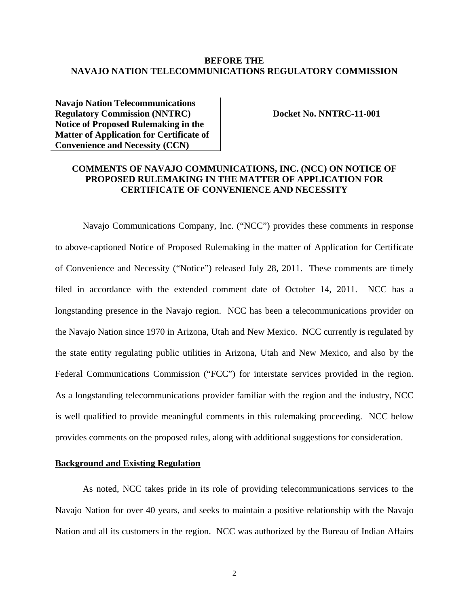### **BEFORE THE NAVAJO NATION TELECOMMUNICATIONS REGULATORY COMMISSION**

**Navajo Nation Telecommunications Regulatory Commission (NNTRC) Notice of Proposed Rulemaking in the Matter of Application for Certificate of Convenience and Necessity (CCN)** 

**Docket No. NNTRC-11-001** 

## **COMMENTS OF NAVAJO COMMUNICATIONS, INC. (NCC) ON NOTICE OF PROPOSED RULEMAKING IN THE MATTER OF APPLICATION FOR CERTIFICATE OF CONVENIENCE AND NECESSITY**

Navajo Communications Company, Inc. ("NCC") provides these comments in response to above-captioned Notice of Proposed Rulemaking in the matter of Application for Certificate of Convenience and Necessity ("Notice") released July 28, 2011. These comments are timely filed in accordance with the extended comment date of October 14, 2011. NCC has a longstanding presence in the Navajo region. NCC has been a telecommunications provider on the Navajo Nation since 1970 in Arizona, Utah and New Mexico. NCC currently is regulated by the state entity regulating public utilities in Arizona, Utah and New Mexico, and also by the Federal Communications Commission ("FCC") for interstate services provided in the region. As a longstanding telecommunications provider familiar with the region and the industry, NCC is well qualified to provide meaningful comments in this rulemaking proceeding. NCC below provides comments on the proposed rules, along with additional suggestions for consideration.

### **Background and Existing Regulation**

As noted, NCC takes pride in its role of providing telecommunications services to the Navajo Nation for over 40 years, and seeks to maintain a positive relationship with the Navajo Nation and all its customers in the region. NCC was authorized by the Bureau of Indian Affairs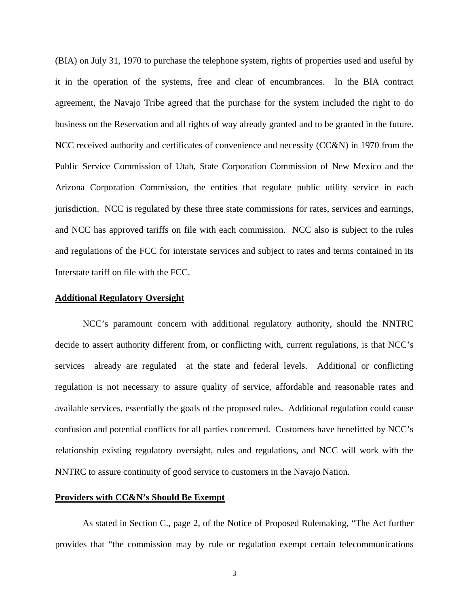(BIA) on July 31, 1970 to purchase the telephone system, rights of properties used and useful by it in the operation of the systems, free and clear of encumbrances. In the BIA contract agreement, the Navajo Tribe agreed that the purchase for the system included the right to do business on the Reservation and all rights of way already granted and to be granted in the future. NCC received authority and certificates of convenience and necessity (CC&N) in 1970 from the Public Service Commission of Utah, State Corporation Commission of New Mexico and the Arizona Corporation Commission, the entities that regulate public utility service in each jurisdiction. NCC is regulated by these three state commissions for rates, services and earnings, and NCC has approved tariffs on file with each commission. NCC also is subject to the rules and regulations of the FCC for interstate services and subject to rates and terms contained in its Interstate tariff on file with the FCC.

#### **Additional Regulatory Oversight**

NCC's paramount concern with additional regulatory authority, should the NNTRC decide to assert authority different from, or conflicting with, current regulations, is that NCC's services already are regulated at the state and federal levels. Additional or conflicting regulation is not necessary to assure quality of service, affordable and reasonable rates and available services, essentially the goals of the proposed rules. Additional regulation could cause confusion and potential conflicts for all parties concerned. Customers have benefitted by NCC's relationship existing regulatory oversight, rules and regulations, and NCC will work with the NNTRC to assure continuity of good service to customers in the Navajo Nation.

#### **Providers with CC&N's Should Be Exempt**

As stated in Section C., page 2, of the Notice of Proposed Rulemaking, "The Act further provides that "the commission may by rule or regulation exempt certain telecommunications